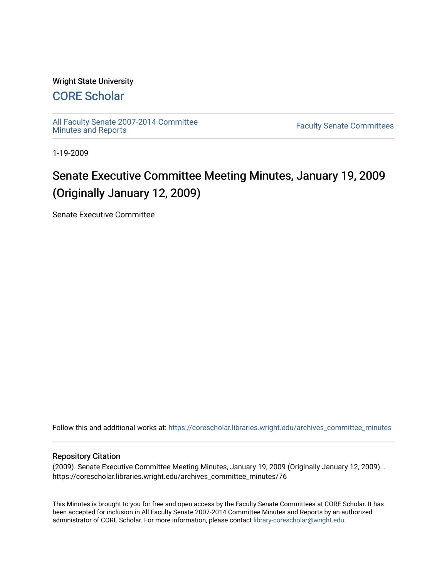## Wright State University

# [CORE Scholar](https://corescholar.libraries.wright.edu/)

[All Faculty Senate 2007-2014 Committee](https://corescholar.libraries.wright.edu/archives_committee_minutes)

**Faculty Senate Committees** 

1-19-2009

# Senate Executive Committee Meeting Minutes, January 19, 2009 (Originally January 12, 2009)

Senate Executive Committee

Follow this and additional works at: [https://corescholar.libraries.wright.edu/archives\\_committee\\_minutes](https://corescholar.libraries.wright.edu/archives_committee_minutes?utm_source=corescholar.libraries.wright.edu%2Farchives_committee_minutes%2F76&utm_medium=PDF&utm_campaign=PDFCoverPages) 

#### Repository Citation

(2009). Senate Executive Committee Meeting Minutes, January 19, 2009 (Originally January 12, 2009). . https://corescholar.libraries.wright.edu/archives\_committee\_minutes/76

This Minutes is brought to you for free and open access by the Faculty Senate Committees at CORE Scholar. It has been accepted for inclusion in All Faculty Senate 2007-2014 Committee Minutes and Reports by an authorized administrator of CORE Scholar. For more information, please contact [library-corescholar@wright.edu.](mailto:library-corescholar@wright.edu)